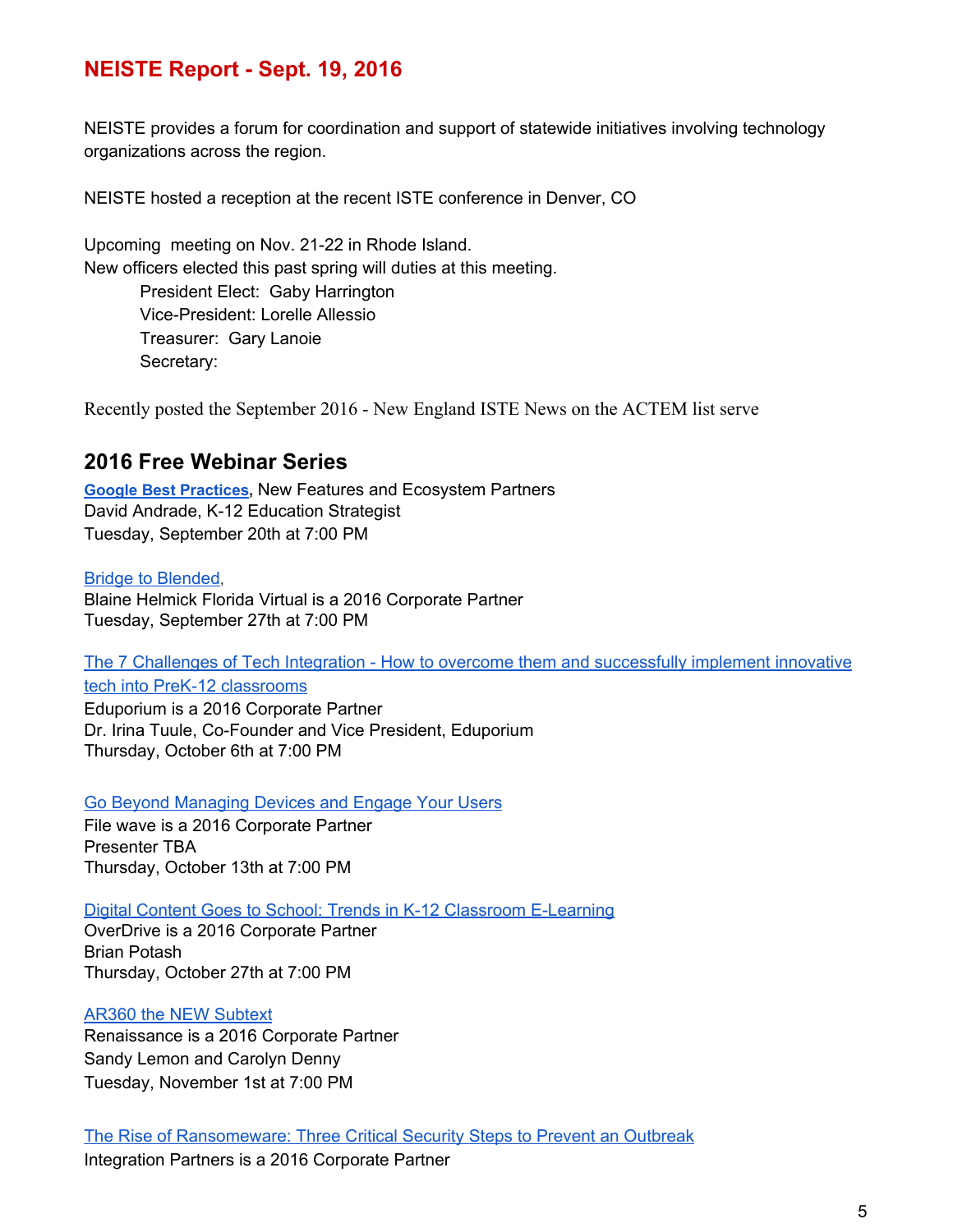## **NEISTE Report Sept. 19, 2016**

NEISTE provides a forum for coordination and support of statewide initiatives involving technology organizations across the region.

NEISTE hosted a reception at the recent ISTE conference in Denver, CO

Upcoming meeting on Nov. 21-22 in Rhode Island. New officers elected this past spring will duties at this meeting.

President Elect: Gaby Harrington Vice-President: Lorelle Allessio Treasurer: Gary Lanoie Secretary:

Recently posted the September 2016 New England ISTE News on the ACTEM list serve

## **2016 Free Webinar Series**

**[Google Best Practices](https://docs.google.com/a/neiste.org/forms/d/1Jdn8kPTnbBn6VhmJcCVqWI1mZzoJHNjY0BhKmsj9_Jw/viewform),** New Features and Ecosystem Partners David Andrade, K-12 Education Strategist Tuesday, September 20th at 7:00 PM

[Bridge to Blended](https://docs.google.com/a/neiste.org/forms/d/1QPw3fzd25sHhqtG6SfuDvE-jIHGpuKMezC7FTK5LedA/viewform), Blaine Helmick Florida Virtual is a 2016 Corporate Partner Tuesday, September 27th at 7:00 PM

[The 7 Challenges of Tech Integration](https://docs.google.com/a/neiste.org/forms/d/1oOE_RChA_b9RVUHTVZbzdfz8pwHJc38B6jXLVe9X3tk/viewform) - How to overcome them and successfully implement innovative tech into PreK-12 classrooms

Eduporium is a 2016 Corporate Partner Dr. Irina Tuule, Co-Founder and Vice President, Eduporium Thursday, October 6th at 7:00 PM

[Go Beyond Managing Devices and](https://docs.google.com/a/neiste.org/forms/d/1t4JXPcsGHwnifsW_0HeTjKSM0s4Y4VQa6CJcx946BEs/viewform) Engage Your Users

File wave is a 2016 Corporate Partner Presenter TBA Thursday, October 13th at 7:00 PM

[Digital Content Goes to School:](https://docs.google.com/a/neiste.org/forms/d/1spW2w8Vnms7Zn778e5wja0fZ6nQdq2HunpKVIHfRwrU/viewform) Trends in K-12 Classroom E-Learning

OverDrive is a 2016 Corporate Partner Brian Potash Thursday, October 27th at 7:00 PM

## [AR360 the NEW Subtext](https://docs.google.com/a/neiste.org/forms/d/1Xe_Y2p5E2RgmCM91TkJ-aKEN_mpIXDB50ImfAVzTbos/viewform)

Renaissance is a 2016 Corporate Partner Sandy Lemon and Carolyn Denny Tuesday, November 1st at 7:00 PM

[The Rise of Ransomeware: Three](https://docs.google.com/a/neiste.org/forms/d/1iVGcq3C4EEVkU-tNzqFbaXvcFAkpOMLU2lz1yE2YsPI/viewform) Critical Security Steps to Prevent an Outbreak Integration Partners is a 2016 Corporate Partner